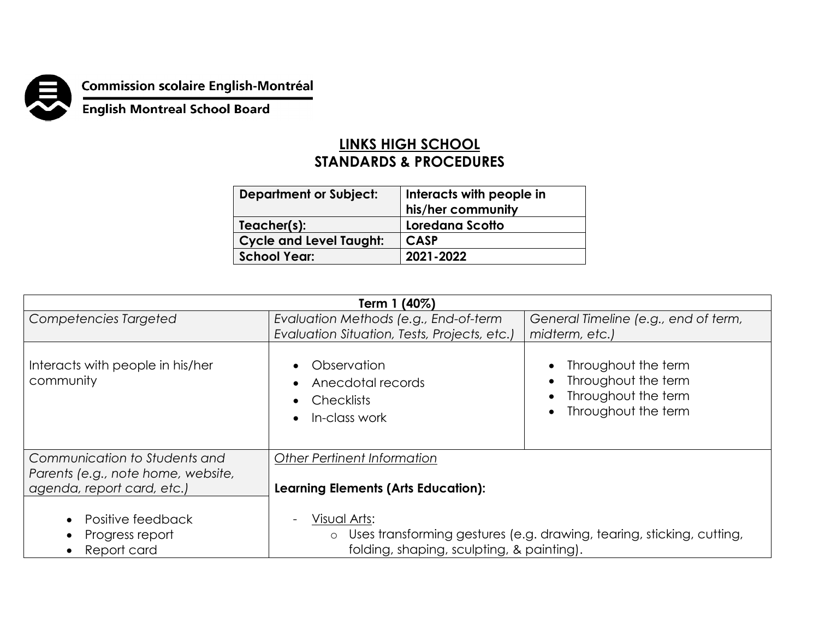

**Commission scolaire English-Montréal<br>English Montreal School Board** 

## **LINKS HIGH SCHOOL STANDARDS & PROCEDURES**

| <b>Department or Subject:</b>  | Interacts with people in<br>his/her community |
|--------------------------------|-----------------------------------------------|
| Teacher(s):                    | Loredana Scotto                               |
| <b>Cycle and Level Taught:</b> | <b>CASP</b>                                   |
| <b>School Year:</b>            | 2021-2022                                     |
|                                |                                               |

| Term 1 (40%)                                                     |                                                                                  |                                                                                          |  |  |
|------------------------------------------------------------------|----------------------------------------------------------------------------------|------------------------------------------------------------------------------------------|--|--|
| Competencies Targeted                                            | Evaluation Methods (e.g., End-of-term                                            | General Timeline (e.g., end of term,                                                     |  |  |
|                                                                  | Evaluation Situation, Tests, Projects, etc.)                                     | midterm, etc.)                                                                           |  |  |
| Interacts with people in his/her<br>community                    | Observation<br>Anecdotal records<br><b>Checklists</b><br>In-class work           | Throughout the term<br>Throughout the term<br>Throughout the term<br>Throughout the term |  |  |
| Communication to Students and                                    | <b>Other Pertinent Information</b>                                               |                                                                                          |  |  |
| Parents (e.g., note home, website,<br>agenda, report card, etc.) | <b>Learning Elements (Arts Education):</b>                                       |                                                                                          |  |  |
| Positive feedback                                                | Visual Arts:                                                                     |                                                                                          |  |  |
| Progress report<br>$\bullet$                                     | Uses transforming gestures (e.g. drawing, tearing, sticking, cutting,<br>$\circ$ |                                                                                          |  |  |
| Report card                                                      | folding, shaping, sculpting, & painting).                                        |                                                                                          |  |  |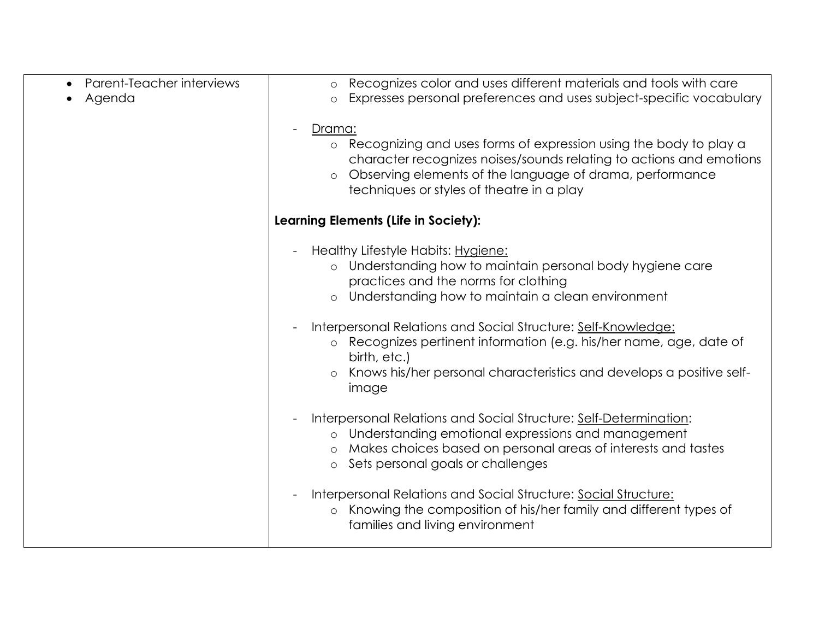| Parent-Teacher interviews | Recognizes color and uses different materials and tools with care<br>$\circ$<br>Expresses personal preferences and uses subject-specific vocabulary |
|---------------------------|-----------------------------------------------------------------------------------------------------------------------------------------------------|
| Agenda                    | $\circ$                                                                                                                                             |
|                           | Drama:                                                                                                                                              |
|                           | o Recognizing and uses forms of expression using the body to play a                                                                                 |
|                           | character recognizes noises/sounds relating to actions and emotions                                                                                 |
|                           | Observing elements of the language of drama, performance<br>$\circ$                                                                                 |
|                           | techniques or styles of theatre in a play                                                                                                           |
|                           | Learning Elements (Life in Society):                                                                                                                |
|                           | Healthy Lifestyle Habits: Hygiene:                                                                                                                  |
|                           | o Understanding how to maintain personal body hygiene care                                                                                          |
|                           | practices and the norms for clothing                                                                                                                |
|                           | Understanding how to maintain a clean environment<br>$\circ$                                                                                        |
|                           | Interpersonal Relations and Social Structure: Self-Knowledge:                                                                                       |
|                           | Recognizes pertinent information (e.g. his/her name, age, date of<br>$\circ$                                                                        |
|                           | birth, etc.)                                                                                                                                        |
|                           | Knows his/her personal characteristics and develops a positive self-<br>$\circ$<br>image                                                            |
|                           |                                                                                                                                                     |
|                           | Interpersonal Relations and Social Structure: Self-Determination:                                                                                   |
|                           | Understanding emotional expressions and management<br>$\circ$                                                                                       |
|                           | Makes choices based on personal areas of interests and tastes<br>$\circ$                                                                            |
|                           | Sets personal goals or challenges<br>$\circ$                                                                                                        |
|                           | Interpersonal Relations and Social Structure: Social Structure:                                                                                     |
|                           | Knowing the composition of his/her family and different types of<br>$\circ$                                                                         |
|                           | families and living environment                                                                                                                     |
|                           |                                                                                                                                                     |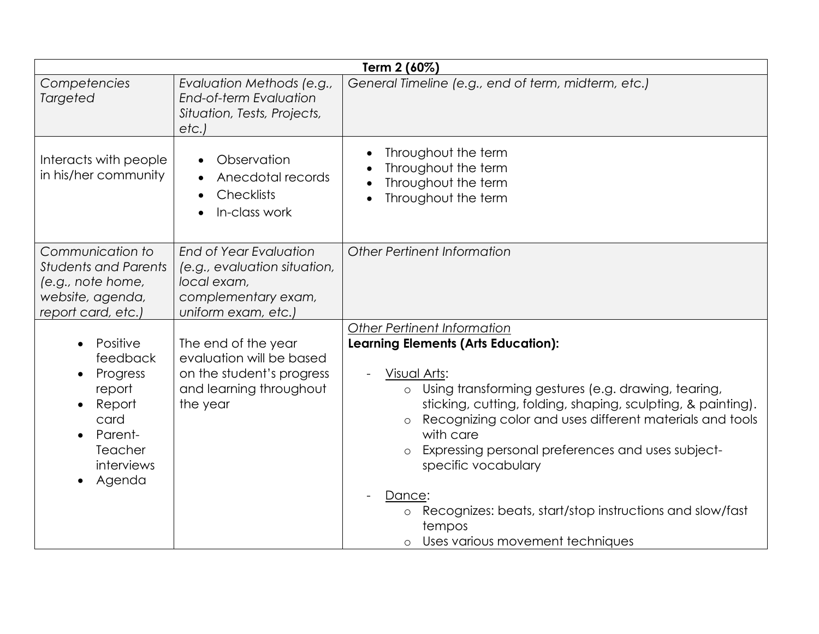| Term 2 (60%)                                                                                                   |                                                                                                                            |                                                                                                                                                                                                                              |
|----------------------------------------------------------------------------------------------------------------|----------------------------------------------------------------------------------------------------------------------------|------------------------------------------------------------------------------------------------------------------------------------------------------------------------------------------------------------------------------|
| Competencies<br><b>Targeted</b>                                                                                | Evaluation Methods (e.g.,<br>End-of-term Evaluation<br>Situation, Tests, Projects,<br>etc.                                 | General Timeline (e.g., end of term, midterm, etc.)                                                                                                                                                                          |
| Interacts with people<br>in his/her community                                                                  | Observation<br>Anecdotal records<br>$\bullet$<br><b>Checklists</b><br>In-class work                                        | Throughout the term<br>Throughout the term<br>Throughout the term<br>Throughout the term                                                                                                                                     |
| Communication to<br><b>Students and Parents</b><br>(e.g., note home,<br>website, agenda,<br>report card, etc.) | <b>End of Year Evaluation</b><br>(e.g., evaluation situation,<br>local exam,<br>complementary exam,<br>uniform exam, etc.) | Other Pertinent Information                                                                                                                                                                                                  |
|                                                                                                                |                                                                                                                            | <b>Other Pertinent Information</b>                                                                                                                                                                                           |
| Positive<br>feedback<br>Progress<br>report                                                                     | The end of the year<br>evaluation will be based<br>on the student's progress<br>and learning throughout                    | <b>Learning Elements (Arts Education):</b><br>Visual Arts:<br>Using transforming gestures (e.g. drawing, tearing,<br>$\circ$                                                                                                 |
| Report<br>card<br>Parent-<br>Teacher<br>interviews                                                             | the year                                                                                                                   | sticking, cutting, folding, shaping, sculpting, & painting).<br>Recognizing color and uses different materials and tools<br>$\circ$<br>with care<br>Expressing personal preferences and uses subject-<br>specific vocabulary |
| Agenda                                                                                                         |                                                                                                                            |                                                                                                                                                                                                                              |
|                                                                                                                |                                                                                                                            | Dance:                                                                                                                                                                                                                       |
|                                                                                                                |                                                                                                                            | Recognizes: beats, start/stop instructions and slow/fast<br>$\circ$<br>tempos                                                                                                                                                |
|                                                                                                                |                                                                                                                            | Uses various movement techniques<br>$\circ$                                                                                                                                                                                  |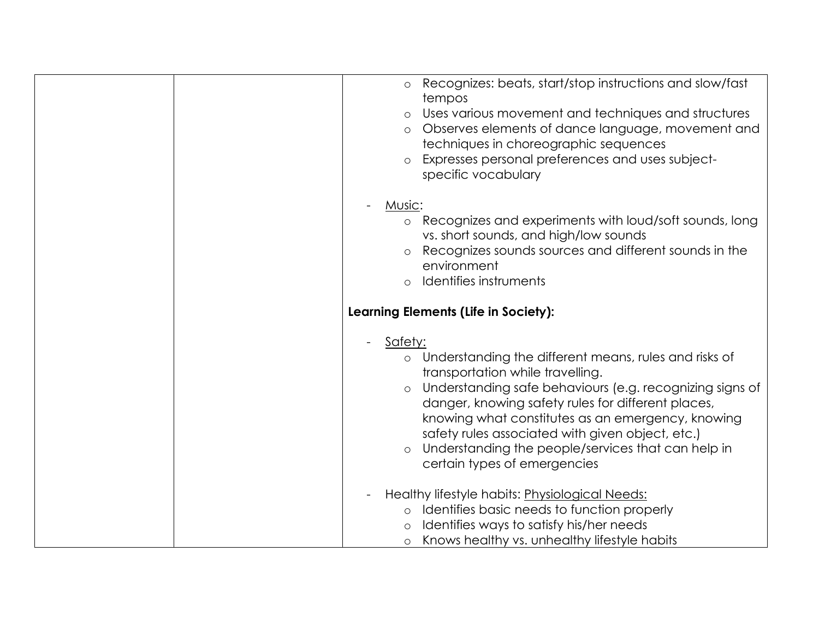| Recognizes: beats, start/stop instructions and slow/fast<br>$\circ$<br>tempos<br>Uses various movement and techniques and structures<br>$\circ$<br>Observes elements of dance language, movement and<br>$\circ$<br>techniques in choreographic sequences<br>Expresses personal preferences and uses subject-<br>$\circ$<br>specific vocabulary                                                                                                                            |
|---------------------------------------------------------------------------------------------------------------------------------------------------------------------------------------------------------------------------------------------------------------------------------------------------------------------------------------------------------------------------------------------------------------------------------------------------------------------------|
| Music:<br>Recognizes and experiments with loud/soft sounds, long<br>$\circ$<br>vs. short sounds, and high/low sounds<br>Recognizes sounds sources and different sounds in the<br>$\circ$<br>environment<br>Identifies instruments<br>$\circ$                                                                                                                                                                                                                              |
| Learning Elements (Life in Society):                                                                                                                                                                                                                                                                                                                                                                                                                                      |
| Safety:<br>$\overline{\phantom{a}}$<br>o Understanding the different means, rules and risks of<br>transportation while travelling.<br>Understanding safe behaviours (e.g. recognizing signs of<br>$\circ$<br>danger, knowing safety rules for different places,<br>knowing what constitutes as an emergency, knowing<br>safety rules associated with given object, etc.)<br>Understanding the people/services that can help in<br>$\circ$<br>certain types of emergencies |
| Healthy lifestyle habits: Physiological Needs:<br>o Identifies basic needs to function properly<br>Identifies ways to satisfy his/her needs<br>o Knows healthy vs. unhealthy lifestyle habits                                                                                                                                                                                                                                                                             |